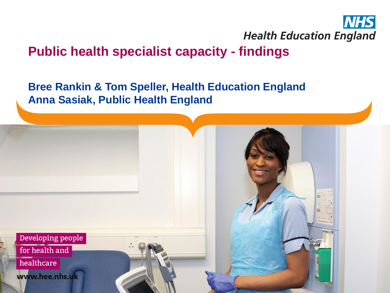

### **Public health specialist capacity - findings**

#### **Bree Rankin & Tom Speller, Health Education England Anna Sasiak, Public Health England**

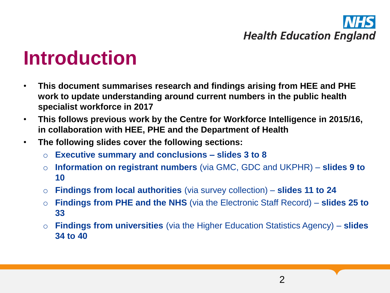### **Introduction**

- **This document summarises research and findings arising from HEE and PHE work to update understanding around current numbers in the public health specialist workforce in 2017**
- **This follows previous work by the Centre for Workforce Intelligence in 2015/16, in collaboration with HEE, PHE and the Department of Health**
- **The following slides cover the following sections:**
	- o **Executive summary and conclusions – slides 3 to 8**
	- o **Information on registrant numbers** (via GMC, GDC and UKPHR) **slides 9 to 10**
	- o **Findings from local authorities** (via survey collection) **slides 11 to 24**
	- o **Findings from PHE and the NHS** (via the Electronic Staff Record) **slides 25 to 33**
	- o **Findings from universities** (via the Higher Education Statistics Agency) **slides 34 to 40**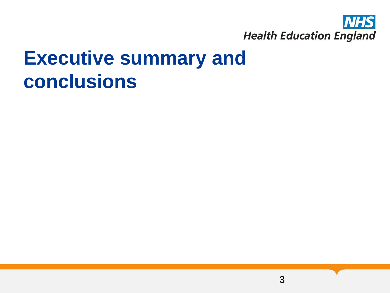

### **Executive summary and conclusions**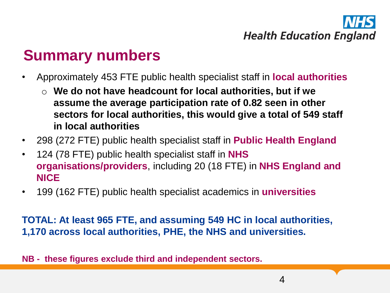### **Summary numbers**

- Approximately 453 FTE public health specialist staff in **local authorities**
	- o **We do not have headcount for local authorities, but if we assume the average participation rate of 0.82 seen in other sectors for local authorities, this would give a total of 549 staff in local authorities**
- 298 (272 FTE) public health specialist staff in **Public Health England**
- 124 (78 FTE) public health specialist staff in **NHS organisations/providers**, including 20 (18 FTE) in **NHS England and NICE**
- 199 (162 FTE) public health specialist academics in **universities**

**TOTAL: At least 965 FTE, and assuming 549 HC in local authorities, 1,170 across local authorities, PHE, the NHS and universities.**

**NB - these figures exclude third and independent sectors.**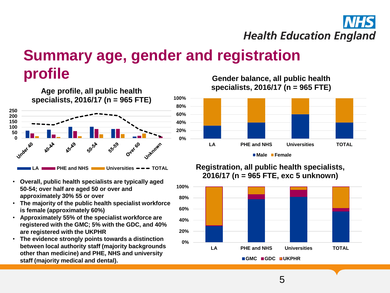

### **Summary age, gender and registration profile**



- **Overall, public health specialists are typically aged 50-54; over half are aged 50 or over and approximately 30% 55 or over**
- **The majority of the public health specialist workforce is female (approximately 60%)**
- **Approximately 55% of the specialist workforce are registered with the GMC; 5% with the GDC, and 40% are registered with the UKPHR**
- **The evidence strongly points towards a distinction between local authority staff (majority backgrounds other than medicine) and PHE, NHS and university staff (majority medical and dental).**

**Gender balance, all public health specialists, 2016/17 (n = 965 FTE)** 



**Male Female**

#### **Registration, all public health specialists, 2016/17 (n = 965 FTE, exc 5 unknown)**

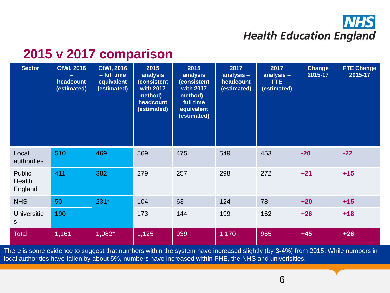### **2015 v 2017 comparison**

| <b>Sector</b>               | <b>CfWI, 2016</b><br>headcount<br>(estimated) | <b>CfWI, 2016</b><br>- full time<br>equivalent<br>(estimated) | 2015<br>analysis<br><b>Consistent</b><br>with 2017<br>$method$ ) –<br>headcount<br>(estimated) | 2015<br>analysis<br>(consistent<br>with 2017<br>$method$ ) –<br>full time<br>equivalent<br>(estimated) | 2017<br>analysis -<br>headcount<br>(estimated) | 2017<br>analysis -<br>FTE.<br>(estimated) | <b>Change</b><br>2015-17 | <b>FTE Change</b><br>2015-17 |
|-----------------------------|-----------------------------------------------|---------------------------------------------------------------|------------------------------------------------------------------------------------------------|--------------------------------------------------------------------------------------------------------|------------------------------------------------|-------------------------------------------|--------------------------|------------------------------|
| Local<br>authorities        | 510                                           | 469                                                           | 569                                                                                            | 475                                                                                                    | 549                                            | 453                                       | $-20$                    | $-22$                        |
| Public<br>Health<br>England | 411                                           | 382                                                           | 279                                                                                            | 257                                                                                                    | 298                                            | 272                                       | $+21$                    | $+15$                        |
| <b>NHS</b>                  | 50                                            | $231*$                                                        | 104                                                                                            | 63                                                                                                     | 124                                            | 78                                        | $+20$                    | $+15$                        |
| <b>Universitie</b><br>S     | 190                                           |                                                               | 173                                                                                            | 144                                                                                                    | 199                                            | 162                                       | $+26$                    | $+18$                        |
| <b>Total</b>                | 1,161                                         | $1,082*$                                                      | 1,125                                                                                          | 939                                                                                                    | 1,170                                          | 965                                       | $+45$                    | $+26$                        |

There is some evidence to suggest that numbers within the system have increased slightly (by **3-4%**) from 2015. While numbers in local authorities have fallen by about 5%, numbers have increased within PHE, the NHS and univerisities.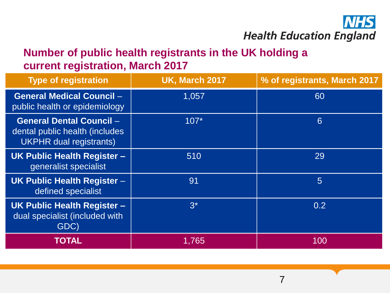

#### **Number of public health registrants in the UK holding a current registration, March 2017**

| <b>Type of registration</b>                                                                         | <b>UK, March 2017</b> | % of registrants, March 2017 |
|-----------------------------------------------------------------------------------------------------|-----------------------|------------------------------|
| <b>General Medical Council -</b><br>public health or epidemiology                                   | 1,057                 | 60                           |
| <b>General Dental Council -</b><br>dental public health (includes<br><b>UKPHR</b> dual registrants) | $107*$                | 6                            |
| <b>UK Public Health Register -</b><br>generalist specialist                                         | 510                   | 29                           |
| <b>UK Public Health Register -</b><br>defined specialist                                            | 91                    | 5                            |
| <b>UK Public Health Register -</b><br>dual specialist (included with<br>GDC)                        | $3^*$                 | 0.2                          |
| <b>TOTAL</b>                                                                                        | 1,765                 | 100                          |

7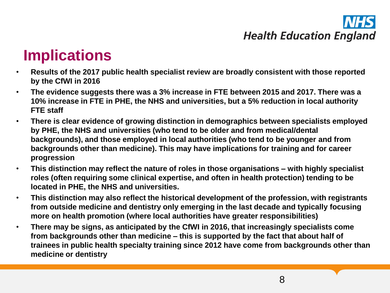### **Implications**

- **Results of the 2017 public health specialist review are broadly consistent with those reported by the CfWI in 2016**
- **The evidence suggests there was a 3% increase in FTE between 2015 and 2017. There was a 10% increase in FTE in PHE, the NHS and universities, but a 5% reduction in local authority FTE staff**
- **There is clear evidence of growing distinction in demographics between specialists employed by PHE, the NHS and universities (who tend to be older and from medical/dental backgrounds), and those employed in local authorities (who tend to be younger and from backgrounds other than medicine). This may have implications for training and for career progression**
- **This distinction may reflect the nature of roles in those organisations – with highly specialist roles (often requiring some clinical expertise, and often in health protection) tending to be located in PHE, the NHS and universities.**
- **This distinction may also reflect the historical development of the profession, with registrants from outside medicine and dentistry only emerging in the last decade and typically focusing more on health promotion (where local authorities have greater responsibilities)**
- **There may be signs, as anticipated by the CfWI in 2016, that increasingly specialists come from backgrounds other than medicine – this is supported by the fact that about half of trainees in public health specialty training since 2012 have come from backgrounds other than medicine or dentistry**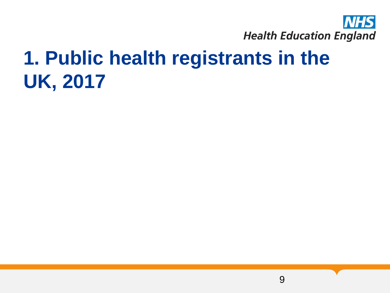

## **1. Public health registrants in the UK, 2017**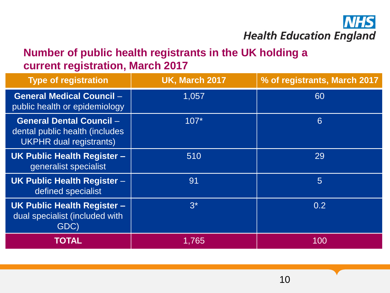

#### **Number of public health registrants in the UK holding a current registration, March 2017**

| <b>Type of registration</b>                                                                         | <b>UK, March 2017</b> | % of registrants, March 2017 |
|-----------------------------------------------------------------------------------------------------|-----------------------|------------------------------|
| <b>General Medical Council -</b><br>public health or epidemiology                                   | 1,057                 | 60                           |
| <b>General Dental Council -</b><br>dental public health (includes<br><b>UKPHR</b> dual registrants) | $107*$                | 6                            |
| <b>UK Public Health Register -</b><br>generalist specialist                                         | 510                   | 29                           |
| <b>UK Public Health Register -</b><br>defined specialist                                            | 91                    | 5                            |
| <b>UK Public Health Register -</b><br>dual specialist (included with<br>GDC)                        | $3^*$                 | 0.2                          |
| <b>TOTAL</b>                                                                                        | 1,765                 | 100                          |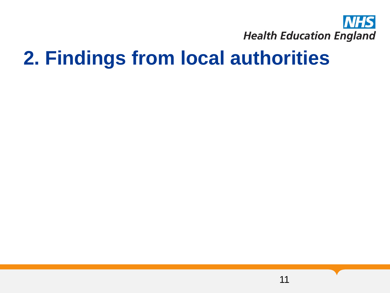

### **2. Findings from local authorities**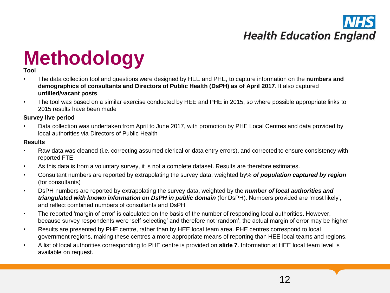## **Methodology Tool**

- The data collection tool and questions were designed by HEE and PHE, to capture information on the **numbers and demographics of consultants and Directors of Public Health (DsPH) as of April 2017**. It also captured **unfilled/vacant posts**
- The tool was based on a similar exercise conducted by HEE and PHE in 2015, so where possible appropriate links to 2015 results have been made

#### **Survey live period**

• Data collection was undertaken from April to June 2017, with promotion by PHE Local Centres and data provided by local authorities via Directors of Public Health

#### **Results**

- Raw data was cleaned (i.e. correcting assumed clerical or data entry errors), and corrected to ensure consistency with reported FTE
- As this data is from a voluntary survey, it is not a complete dataset. Results are therefore estimates.
- Consultant numbers are reported by extrapolating the survey data, weighted by% *of population captured by region* (for consultants)
- DsPH numbers are reported by extrapolating the survey data, weighted by the *number of local authorities and triangulated with known information on DsPH in public domain* (for DsPH). Numbers provided are 'most likely', and reflect combined numbers of consultants and DsPH
- The reported 'margin of error' is calculated on the basis of the number of responding local authorities. However, because survey respondents were 'self-selecting' and therefore not 'random', the actual margin of error may be higher
- Results are presented by PHE centre, rather than by HEE local team area. PHE centres correspond to local government regions, making these centres a more appropriate means of reporting than HEE local teams and regions.
- A list of local authorities corresponding to PHE centre is provided on **slide 7**. Information at HEE local team level is available on request.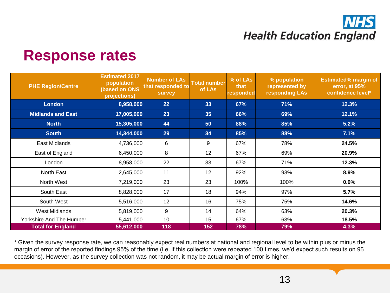### **Response rates**

| <b>PHE Region/Centre</b> | <b>Estimated 2017</b><br>population<br><b>(based on ONS</b><br>projections) | <b>Number of LAs</b><br>that responded to<br><b>survey</b> | <b>Total number</b><br>of LAs | $\frac{1}{2}$ of LAs<br>that<br>responded | % population<br>represented by<br>responding LAs | <b>Estimated% margin of</b><br>error, at 95%<br>confidence level* |
|--------------------------|-----------------------------------------------------------------------------|------------------------------------------------------------|-------------------------------|-------------------------------------------|--------------------------------------------------|-------------------------------------------------------------------|
| <b>London</b>            | 8,958,000                                                                   | 22                                                         | 33                            | 67%                                       | 71%                                              | 12.3%                                                             |
| <b>Midlands and East</b> | 17,005,000                                                                  | 23                                                         | 35                            | 66%                                       | 69%                                              | 12.1%                                                             |
| <b>North</b>             | 15,305,000                                                                  | 44                                                         | 50                            | 88%                                       | 85%                                              | 5.2%                                                              |
| <b>South</b>             | 14,344,000                                                                  | 29                                                         | 34                            | 85%                                       | 88%                                              | 7.1%                                                              |
| East Midlands            | 4,736,000                                                                   | 6                                                          | 9                             | 67%                                       | 78%                                              | 24.5%                                                             |
| East of England          | 6,450,000                                                                   | 8                                                          | 12                            | 67%                                       | 69%                                              | 20.9%                                                             |
| London                   | 8,958,000                                                                   | 22                                                         | 33                            | 67%                                       | 71%                                              | 12.3%                                                             |
| North East               | 2,645,000                                                                   | 11                                                         | 12                            | 92%                                       | 93%                                              | 8.9%                                                              |
| North West               | 7,219,000                                                                   | 23                                                         | 23                            | 100%                                      | 100%                                             | 0.0%                                                              |
| South East               | 8,828,000                                                                   | 17                                                         | 18                            | 94%                                       | 97%                                              | 5.7%                                                              |
| South West               | 5,516,000                                                                   | 12                                                         | 16                            | 75%                                       | 75%                                              | 14.6%                                                             |
| West Midlands            | 5,819,000                                                                   | 9                                                          | 14                            | 64%                                       | 63%                                              | 20.3%                                                             |
| Yorkshire And The Humber | 5,441,000                                                                   | 10                                                         | 15                            | 67%                                       | 63%                                              | 18.5%                                                             |
| <b>Total for England</b> | 55,612,000                                                                  | 118                                                        | 152                           | 78%                                       | 79%                                              | 4.3%                                                              |

\* Given the survey response rate, we can reasonably expect real numbers at national and regional level to be within plus or minus the margin of error of the reported findings 95% of the time (i.e. if this collection were repeated 100 times, we'd expect such results on 95 occasions). However, as the survey collection was not random, it may be actual margin of error is higher.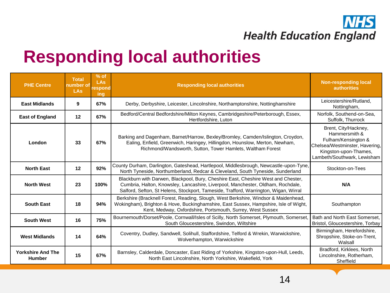

### **Responding local authorities**

| <b>PHE Centre</b>                         | <b>Total</b><br>number of<br><b>LAs</b> | $%$ of<br><b>LAs</b><br>respond<br>ing | <b>Responding local authorities</b>                                                                                                                                                                                                                          | <b>Non-responding local</b><br><b>authorities</b>                                                                                                      |
|-------------------------------------------|-----------------------------------------|----------------------------------------|--------------------------------------------------------------------------------------------------------------------------------------------------------------------------------------------------------------------------------------------------------------|--------------------------------------------------------------------------------------------------------------------------------------------------------|
| <b>East Midlands</b>                      | 9                                       | 67%                                    | Derby, Derbyshire, Leicester, Lincolnshire, Northamptonshire, Nottinghamshire                                                                                                                                                                                | Leicestershire/Rutland,<br>Nottingham,                                                                                                                 |
| <b>East of England</b>                    | 12                                      | 67%                                    | Bedford/Central Bedfordshire/Milton Keynes, Cambridgeshire/Peterborough, Essex,<br>Hertfordshire, Luton                                                                                                                                                      | Norfolk, Southend-on-Sea,<br>Suffolk, Thurrock                                                                                                         |
| London                                    | 33                                      | 67%                                    | Barking and Dagenham, Barnet/Harrow, Bexley/Bromley, Camden/Islington, Croydon,<br>Ealing, Enfield, Greenwich, Haringey, Hillingdon, Hounslow, Merton, Newham,<br>Richmond/Wandsworth, Sutton, Tower Hamlets, Waltham Forest                                 | Brent, City/Hackney,<br>Hammersmith &<br>Fulham/Kensington &<br>Chelsea/Westminster, Havering,<br>Kingston-upon-Thames,<br>Lambeth/Southwark, Lewisham |
| <b>North East</b>                         | 12                                      | 92%                                    | County Durham, Darlington, Gateshead, Hartlepool, Middlesbrough, Newcastle-upon-Tyne,<br>North Tyneside, Northumberland, Redcar & Cleveland, South Tyneside, Sunderland                                                                                      | Stockton-on-Tees                                                                                                                                       |
| <b>North West</b>                         | 23                                      | 100%                                   | Blackburn with Darwen, Blackpool, Bury, Cheshire East, Cheshire West and Chester,<br>Cumbria, Halton, Knowsley, Lancashire, Liverpool, Manchester, Oldham, Rochdale,<br>Salford, Sefton, St Helens, Stockport, Tameside, Trafford, Warrington, Wigan, Wirral | N/A                                                                                                                                                    |
| <b>South East</b>                         | 18                                      | 94%                                    | Berkshire (Bracknell Forest, Reading, Slough, West Berkshire, Windsor & Maidenhead,<br>Wokingham), Brighton & Hove, Buckinghamshire, East Sussex, Hampshire, Isle of Wight,<br>Kent, Medway, Oxfordshire, Portsmouth, Surrey, West Sussex                    | Southampton                                                                                                                                            |
| <b>South West</b>                         | 16                                      | 75%                                    | Bournemouth/Dorset/Poole, Cornwall/Isles of Scilly, North Somerset, Plymouth, Somerset,<br>South Gloucestershire, Swindon, Wiltshire                                                                                                                         | Bath and North East Somerset,<br>Bristol, Gloucestershire, Torbay                                                                                      |
| <b>West Midlands</b>                      | 14                                      | 64%                                    | Coventry, Dudley, Sandwell, Solihull, Staffordshire, Telford & Wrekin, Warwickshire,<br>Wolverhampton, Warwickshire                                                                                                                                          | Birmingham, Herefordshire,<br>Shropshire, Stoke-on-Trent,<br>Walsall                                                                                   |
| <b>Yorkshire And The</b><br><b>Humber</b> | 15                                      | 67%                                    | Barnsley, Calderdale, Doncaster, East Riding of Yorkshire, Kingston-upon-Hull, Leeds,<br>North East Lincolnshire, North Yorkshire, Wakefield, York                                                                                                           | Bradford, Kirklees, North<br>Lincolnshire, Rotherham,<br>Sheffield                                                                                     |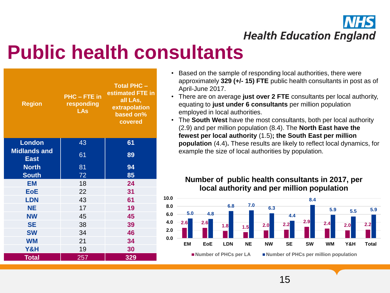

### **Public health consultants**

| <b>Region</b>                      | <b>PHC-FTE</b> in<br>responding<br><b>LAs</b> | <b>Total PHC -</b><br>estimated FTE in<br>all LAs,<br>extrapolation<br>based on%<br>covered |  |
|------------------------------------|-----------------------------------------------|---------------------------------------------------------------------------------------------|--|
| <b>London</b>                      | 43                                            | 61                                                                                          |  |
| <b>Midlands and</b><br><b>East</b> | 61                                            | 89                                                                                          |  |
| <b>North</b>                       | 81                                            | 94                                                                                          |  |
| <b>South</b>                       | 72                                            | 85                                                                                          |  |
| <b>EM</b>                          | 18                                            | 24                                                                                          |  |
| <b>EoE</b>                         | 22                                            | 31                                                                                          |  |
| <b>LDN</b>                         | 43                                            | 61                                                                                          |  |
| <b>NE</b>                          | 17                                            | 19                                                                                          |  |
| <b>NW</b>                          | 45                                            | 45                                                                                          |  |
| <b>SE</b>                          | 38                                            | 39                                                                                          |  |
| <b>SW</b>                          | 34                                            | 46                                                                                          |  |
| <b>WM</b>                          | 21                                            | 34                                                                                          |  |
| Y&H                                | 19                                            | 30                                                                                          |  |
| <b>Total</b>                       | 257                                           | 329                                                                                         |  |

- Based on the sample of responding local authorities, there were approximately **329 (+/- 15) FTE** public health consultants in post as of April-June 2017.
- There are on average **just over 2 FTE** consultants per local authority, equating to **just under 6 consultants** per million population employed in local authorities.
- The **South West** have the most consultants, both per local authority (2.9) and per million population (8.4). The **North East have the fewest per local authority** (1.5)**; the South East per million population** (4.4)**.** These results are likely to reflect local dynamics, for example the size of local authorities by population.

#### **Number of public health consultants in 2017, per local authority and per million population**

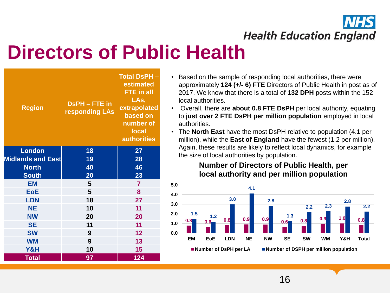

## **Directors of Public Health**

| <b>Region</b>            | <b>DsPH-FTE</b> in<br>responding LAs | <b>Total DsPH-</b><br>estimated<br>FTE in all<br>LAs,<br>extrapolated<br>based on<br>number of<br><b>local</b><br><b>authorities</b> |  |
|--------------------------|--------------------------------------|--------------------------------------------------------------------------------------------------------------------------------------|--|
| <b>London</b>            | 18                                   | 27                                                                                                                                   |  |
| <b>Midlands and East</b> | 19                                   | 28                                                                                                                                   |  |
| <b>North</b>             | 40                                   | 46                                                                                                                                   |  |
| <b>South</b>             | 20                                   | 23                                                                                                                                   |  |
| <b>EM</b>                | 5                                    | $\overline{7}$                                                                                                                       |  |
| <b>EoE</b>               | 5                                    | 8                                                                                                                                    |  |
| <b>LDN</b>               | 18                                   | 27                                                                                                                                   |  |
| <b>NE</b>                | 10                                   | 11                                                                                                                                   |  |
| <b>NW</b>                | 20                                   | 20                                                                                                                                   |  |
| <b>SE</b>                | 11                                   | 11                                                                                                                                   |  |
| <b>SW</b>                | 9                                    | 12                                                                                                                                   |  |
| <b>WM</b>                | 9                                    | 13                                                                                                                                   |  |
| Y&H                      | 10                                   | 15                                                                                                                                   |  |
| <b>Total</b>             | 97                                   | 124                                                                                                                                  |  |

- Based on the sample of responding local authorities, there were approximately **124 (+/- 6) FTE** Directors of Public Health in post as of 2017. We know that there is a total of **132 DPH** posts within the 152 local authorities.
- Overall, there are **about 0.8 FTE DsPH** per local authority, equating to **just over 2 FTE DsPH per million population** employed in local authorities.
- The **North East** have the most DsPH relative to population (4.1 per million), while the **East of England** have the fewest (1.2 per million). Again, these results are likely to reflect local dynamics, for example the size of local authorities by population.

#### **Number of Directors of Public Health, per local authority and per million population**

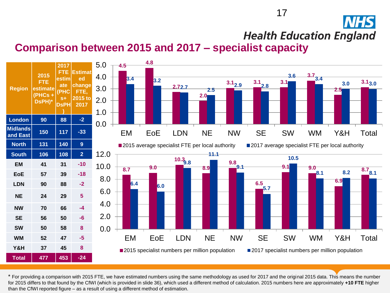#### 17

**Health Education England** 

#### **Comparison between 2015 and 2017 – specialist capacity**



\* For providing a comparison with 2015 FTE, we have estimated numbers using the same methodology as used for 2017 and the original 2015 data. This means the number for 2015 differs to that found by the CfWI (which is provided in slide 36), which used a different method of calculation. 2015 numbers here are approximately **+10 FTE** higher than the CfWI reported figure – as a result of using a different method of estimation.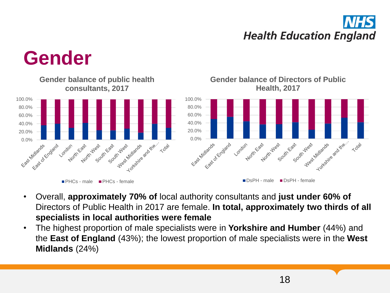

### **Gender**



- Overall, **approximately 70% of** local authority consultants and **just under 60% of**  Directors of Public Health in 2017 are female. **In total, approximately two thirds of all specialists in local authorities were female**
- The highest proportion of male specialists were in **Yorkshire and Humber** (44%) and the **East of England** (43%); the lowest proportion of male specialists were in the **West Midlands** (24%)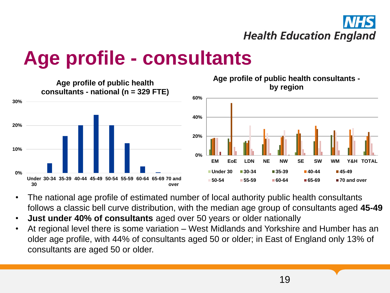

### **Age profile - consultants**



- The national age profile of estimated number of local authority public health consultants follows a classic bell curve distribution, with the median age group of consultants aged **45-49**
- **Just under 40% of consultants** aged over 50 years or older nationally
- At regional level there is some variation West Midlands and Yorkshire and Humber has an older age profile, with 44% of consultants aged 50 or older; in East of England only 13% of consultants are aged 50 or older.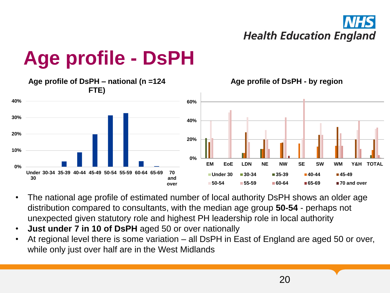

### **Age profile - DsPH**



- The national age profile of estimated number of local authority DsPH shows an older age distribution compared to consultants, with the median age group **50-54** - perhaps not unexpected given statutory role and highest PH leadership role in local authority
- **Just under 7 in 10 of DsPH** aged 50 or over nationally
- At regional level there is some variation all DsPH in East of England are aged 50 or over, while only just over half are in the West Midlands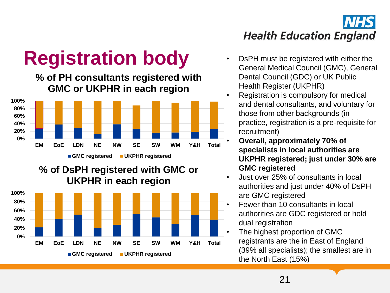

## **Registration body •** DsPH must be registered with either the

**% of PH consultants registered with GMC or UKPHR in each region**



#### **% of DsPH registered with GMC or UKPHR in each region**



- General Medical Council (GMC), General Dental Council (GDC) or UK Public Health Register (UKPHR)
- Registration is compulsory for medical and dental consultants, and voluntary for those from other backgrounds (in practice, registration is a pre-requisite for recruitment)
	- **Overall, approximately 70% of specialists in local authorities are UKPHR registered; just under 30% are GMC registered**
- Just over 25% of consultants in local authorities and just under 40% of DsPH are GMC registered
- Fewer than 10 consultants in local authorities are GDC registered or hold dual registration
- The highest proportion of GMC registrants are the in East of England (39% all specialists); the smallest are in the North East (15%)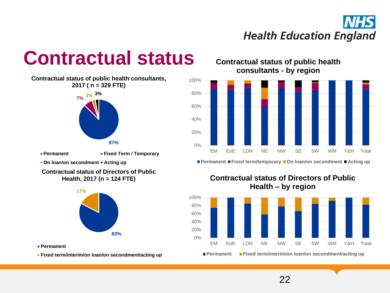### **Contractual status**

**7% 3% 3% Contractual status of public health consultants, 2017 ( n = 329 FTE)**



**Permanent • Fixed Term / Temporary** 

**- On loan/on secondment • Acting up** 

**Contractual status of Directors of Public Health, 2017 (n = 124 FTE)**



**Permanent**

**Fixed term/interim/on loan/on secondment/acting up**

**Contractual status of public health consultants - by region**



**Permanent Fixed term/temporary On loan/on secondment Acting up**





22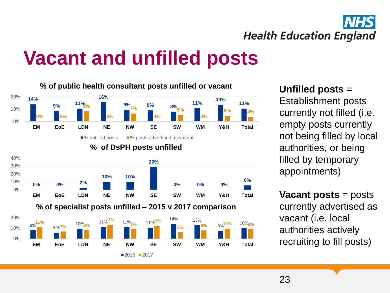

## **Vacant and unfilled posts**



#### **Unfilled posts** =

Establishment posts currently not filled (i.e. empty posts currently not being filled by local authorities, or being filled by temporary appointments)

**Vacant posts** = posts currently advertised as vacant (i.e. local authorities actively recruiting to fill posts)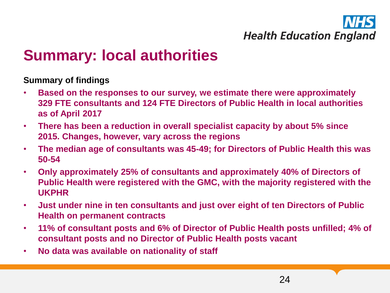

### **Summary: local authorities**

#### **Summary of findings**

- **Based on the responses to our survey, we estimate there were approximately 329 FTE consultants and 124 FTE Directors of Public Health in local authorities as of April 2017**
- **There has been a reduction in overall specialist capacity by about 5% since 2015. Changes, however, vary across the regions**
- **The median age of consultants was 45-49; for Directors of Public Health this was 50-54**
- **Only approximately 25% of consultants and approximately 40% of Directors of Public Health were registered with the GMC, with the majority registered with the UKPHR**
- **Just under nine in ten consultants and just over eight of ten Directors of Public Health on permanent contracts**
- **11% of consultant posts and 6% of Director of Public Health posts unfilled; 4% of consultant posts and no Director of Public Health posts vacant**
- **No data was available on nationality of staff**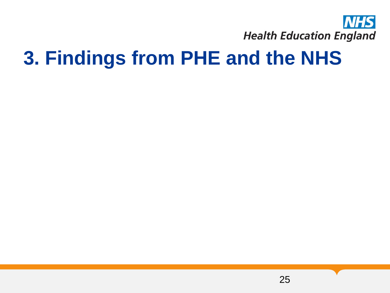

### **3. Findings from PHE and the NHS**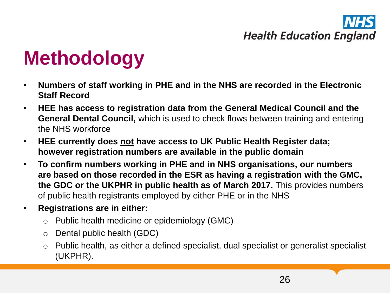## **Methodology**

- **Numbers of staff working in PHE and in the NHS are recorded in the Electronic Staff Record**
- **HEE has access to registration data from the General Medical Council and the General Dental Council,** which is used to check flows between training and entering the NHS workforce
- **HEE currently does not have access to UK Public Health Register data; however registration numbers are available in the public domain**
- **To confirm numbers working in PHE and in NHS organisations, our numbers are based on those recorded in the ESR as having a registration with the GMC, the GDC or the UKPHR in public health as of March 2017.** This provides numbers of public health registrants employed by either PHE or in the NHS
- **Registrations are in either:**
	- o Public health medicine or epidemiology (GMC)
	- o Dental public health (GDC)
	- o Public health, as either a defined specialist, dual specialist or generalist specialist (UKPHR).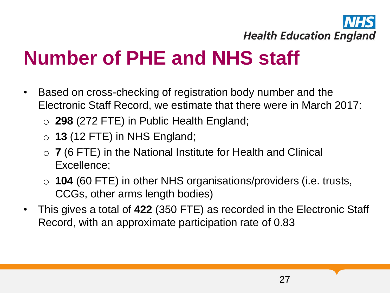

## **Number of PHE and NHS staff**

- Based on cross-checking of registration body number and the Electronic Staff Record, we estimate that there were in March 2017:
	- o **298** (272 FTE) in Public Health England;
	- o **13** (12 FTE) in NHS England;
	- o **7** (6 FTE) in the National Institute for Health and Clinical Excellence;
	- o **104** (60 FTE) in other NHS organisations/providers (i.e. trusts, CCGs, other arms length bodies)
- This gives a total of **422** (350 FTE) as recorded in the Electronic Staff Record, with an approximate participation rate of 0.83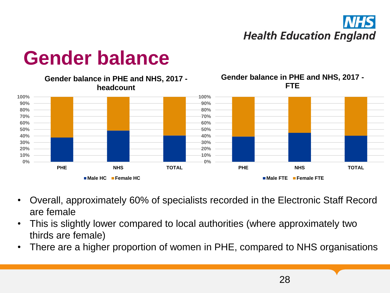

#### **0% 10% 20% 30% 40% 50% 60% 70% 80% 90% 100% PHE NHS TOTAL Gender balance in PHE and NHS, 2017 headcount Male HC Female HC 0% 10% 20% 30% 40% 50% 60% 70% 80% 90% 100% PHE NHS TOTAL Gender balance in PHE and NHS, 2017 - FTE Male FTE Female FTE**

**Gender balance**

- Overall, approximately 60% of specialists recorded in the Electronic Staff Record are female
- This is slightly lower compared to local authorities (where approximately two thirds are female)
- There are a higher proportion of women in PHE, compared to NHS organisations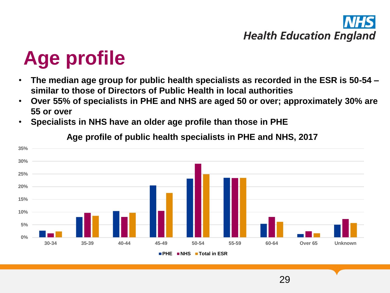29

## **Age profile**

- **The median age group for public health specialists as recorded in the ESR is 50-54 – similar to those of Directors of Public Health in local authorities**
- **Over 55% of specialists in PHE and NHS are aged 50 or over; approximately 30% are 55 or over**
- **Specialists in NHS have an older age profile than those in PHE**



**Age profile of public health specialists in PHE and NHS, 2017**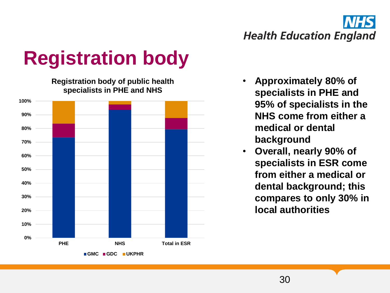## **Registration body**

**Registration body of public health specialists in PHE and NHS**



- **Approximately 80% of specialists in PHE and 95% of specialists in the NHS come from either a medical or dental background**
- **Overall, nearly 90% of specialists in ESR come from either a medical or dental background; this compares to only 30% in local authorities**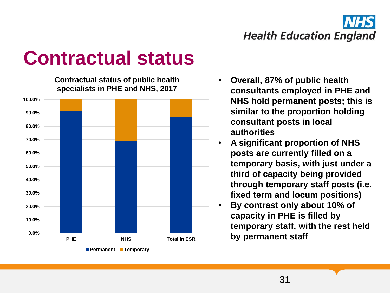

### **Contractual status**

**Contractual status of public health specialists in PHE and NHS, 2017**



- **Overall, 87% of public health consultants employed in PHE and NHS hold permanent posts; this is similar to the proportion holding consultant posts in local authorities**
- **A significant proportion of NHS posts are currently filled on a temporary basis, with just under a third of capacity being provided through temporary staff posts (i.e. fixed term and locum positions)**
- **By contrast only about 10% of capacity in PHE is filled by temporary staff, with the rest held by permanent staff**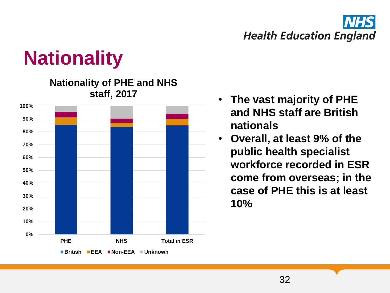

## **Nationality**

**0% 10% 20% 30% 40% 50% 60% 70% 80% 90% 100% PHE NHS Total in ESR Nationality of PHE and NHS staff, 2017 British EEA Non-EEA Unknown**

- **The vast majority of PHE and NHS staff are British nationals**
- **Overall, at least 9% of the public health specialist workforce recorded in ESR come from overseas; in the case of PHE this is at least 10%**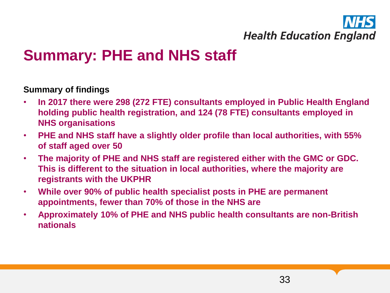### **Summary: PHE and NHS staff**

#### **Summary of findings**

- **In 2017 there were 298 (272 FTE) consultants employed in Public Health England holding public health registration, and 124 (78 FTE) consultants employed in NHS organisations**
- **PHE and NHS staff have a slightly older profile than local authorities, with 55% of staff aged over 50**
- **The majority of PHE and NHS staff are registered either with the GMC or GDC. This is different to the situation in local authorities, where the majority are registrants with the UKPHR**
- **While over 90% of public health specialist posts in PHE are permanent appointments, fewer than 70% of those in the NHS are**
- **Approximately 10% of PHE and NHS public health consultants are non-British nationals**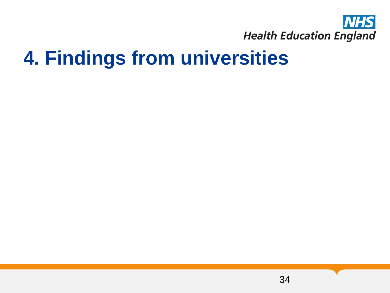

### **4. Findings from universities**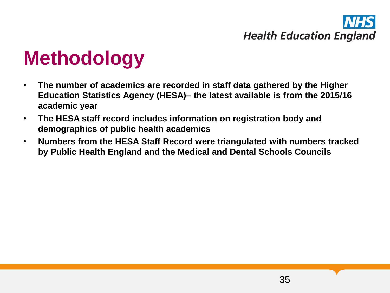## **Methodology**

- **The number of academics are recorded in staff data gathered by the Higher Education Statistics Agency (HESA)– the latest available is from the 2015/16 academic year**
- **The HESA staff record includes information on registration body and demographics of public health academics**
- **Numbers from the HESA Staff Record were triangulated with numbers tracked by Public Health England and the Medical and Dental Schools Councils**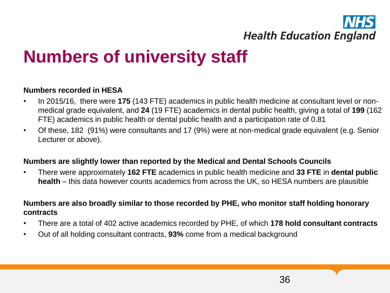### **Numbers of university staff**

#### **Numbers recorded in HESA**

- In 2015/16, there were **175** (143 FTE) academics in public health medicine at consultant level or nonmedical grade equivalent, and **24** (19 FTE) academics in dental public health, giving a total of **199** (162 FTE) academics in public health or dental public health and a participation rate of 0.81
- Of these, 182 (91%) were consultants and 17 (9%) were at non-medical grade equivalent (e.g. Senior Lecturer or above).

#### **Numbers are slightly lower than reported by the Medical and Dental Schools Councils**

• There were approximately **162 FTE** academics in public health medicine and **33 FTE** in **dental public health** – this data however counts academics from across the UK, so HESA numbers are plausible

#### **Numbers are also broadly similar to those recorded by PHE, who monitor staff holding honorary contracts**

- There are a total of 402 active academics recorded by PHE, of which **178 hold consultant contracts**
- Out of all holding consultant contracts, **93%** come from a medical background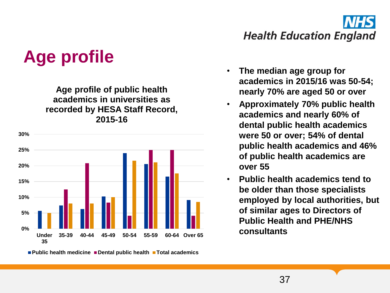

### **Age profile**

**Age profile of public health academics in universities as recorded by HESA Staff Record, 2015-16**



**Public health medicine Dental public health Total academics**

- **The median age group for academics in 2015/16 was 50-54; nearly 70% are aged 50 or over**
- **Approximately 70% public health academics and nearly 60% of dental public health academics were 50 or over; 54% of dental public health academics and 46% of public health academics are over 55**
- **Public health academics tend to be older than those specialists employed by local authorities, but of similar ages to Directors of Public Health and PHE/NHS**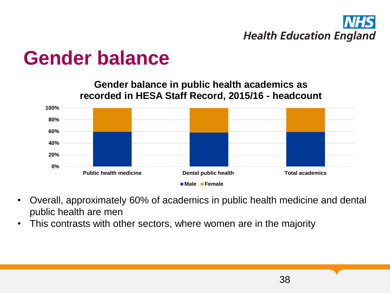### **Gender balance**

**Gender balance in public health academics as recorded in HESA Staff Record, 2015/16 - headcount**



- Overall, approximately 60% of academics in public health medicine and dental public health are men
- This contrasts with other sectors, where women are in the majority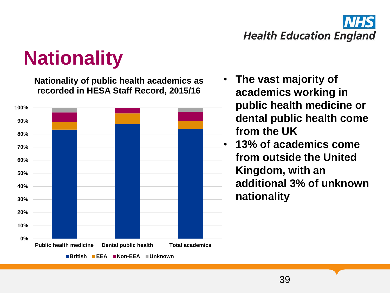

## **Nationality**

**Nationality of public health academics as recorded in HESA Staff Record, 2015/16**



- **The vast majority of academics working in public health medicine or dental public health come from the UK**
- **13% of academics come from outside the United Kingdom, with an additional 3% of unknown nationality**